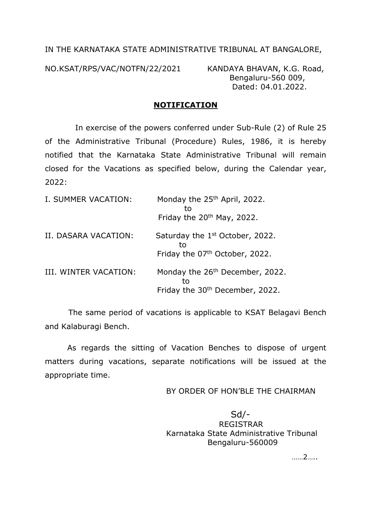## IN THE KARNATAKA STATE ADMINISTRATIVE TRIBUNAL AT BANGALORE,

NO.KSAT/RPS/VAC/NOTFN/22/2021 KANDAYA BHAVAN, K.G. Road,

 Bengaluru-560 009, Dated: 04.01.2022.

## **NOTIFICATION**

 In exercise of the powers conferred under Sub-Rule (2) of Rule 25 of the Administrative Tribunal (Procedure) Rules, 1986, it is hereby notified that the Karnataka State Administrative Tribunal will remain closed for the Vacations as specified below, during the Calendar year, 2022:

| I. SUMMER VACATION:   | Monday the 25 <sup>th</sup> April, 2022.<br>Friday the 20 <sup>th</sup> May, 2022.               |
|-----------------------|--------------------------------------------------------------------------------------------------|
| II. DASARA VACATION:  | Saturday the 1 <sup>st</sup> October, 2022.<br>to<br>Friday the 07th October, 2022.              |
| III. WINTER VACATION: | Monday the 26 <sup>th</sup> December, 2022.<br>tο<br>Friday the 30 <sup>th</sup> December, 2022. |

 The same period of vacations is applicable to KSAT Belagavi Bench and Kalaburagi Bench.

As regards the sitting of Vacation Benches to dispose of urgent matters during vacations, separate notifications will be issued at the appropriate time.

## BY ORDER OF HON'BLE THE CHAIRMAN

 Sd/- REGISTRAR Karnataka State Administrative Tribunal Bengaluru-560009

……2…..